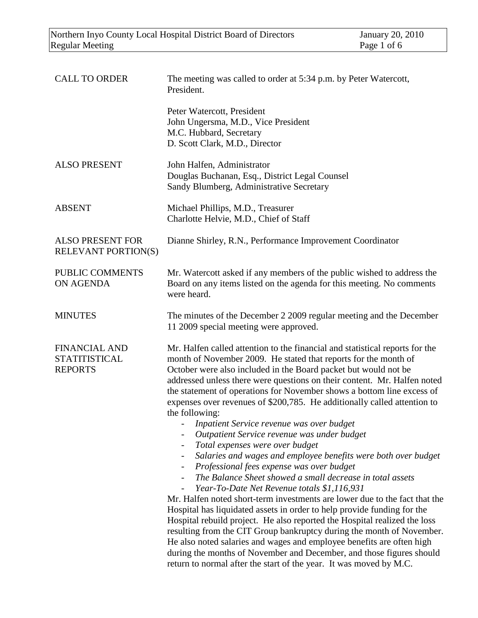| <b>CALL TO ORDER</b>                                           | The meeting was called to order at 5:34 p.m. by Peter Watercott,<br>President.                                                                                                                                                                                                                                                                                                                                                                                                                                                                                                                                                                                                                                                                                                                                                                                                                                                                                                                                                                                                                                                                                                                                                                                                                                                                                         |
|----------------------------------------------------------------|------------------------------------------------------------------------------------------------------------------------------------------------------------------------------------------------------------------------------------------------------------------------------------------------------------------------------------------------------------------------------------------------------------------------------------------------------------------------------------------------------------------------------------------------------------------------------------------------------------------------------------------------------------------------------------------------------------------------------------------------------------------------------------------------------------------------------------------------------------------------------------------------------------------------------------------------------------------------------------------------------------------------------------------------------------------------------------------------------------------------------------------------------------------------------------------------------------------------------------------------------------------------------------------------------------------------------------------------------------------------|
|                                                                | Peter Watercott, President<br>John Ungersma, M.D., Vice President<br>M.C. Hubbard, Secretary<br>D. Scott Clark, M.D., Director                                                                                                                                                                                                                                                                                                                                                                                                                                                                                                                                                                                                                                                                                                                                                                                                                                                                                                                                                                                                                                                                                                                                                                                                                                         |
| <b>ALSO PRESENT</b>                                            | John Halfen, Administrator<br>Douglas Buchanan, Esq., District Legal Counsel<br>Sandy Blumberg, Administrative Secretary                                                                                                                                                                                                                                                                                                                                                                                                                                                                                                                                                                                                                                                                                                                                                                                                                                                                                                                                                                                                                                                                                                                                                                                                                                               |
| <b>ABSENT</b>                                                  | Michael Phillips, M.D., Treasurer<br>Charlotte Helvie, M.D., Chief of Staff                                                                                                                                                                                                                                                                                                                                                                                                                                                                                                                                                                                                                                                                                                                                                                                                                                                                                                                                                                                                                                                                                                                                                                                                                                                                                            |
| <b>ALSO PRESENT FOR</b><br><b>RELEVANT PORTION(S)</b>          | Dianne Shirley, R.N., Performance Improvement Coordinator                                                                                                                                                                                                                                                                                                                                                                                                                                                                                                                                                                                                                                                                                                                                                                                                                                                                                                                                                                                                                                                                                                                                                                                                                                                                                                              |
| PUBLIC COMMENTS<br><b>ON AGENDA</b>                            | Mr. Watercott asked if any members of the public wished to address the<br>Board on any items listed on the agenda for this meeting. No comments<br>were heard.                                                                                                                                                                                                                                                                                                                                                                                                                                                                                                                                                                                                                                                                                                                                                                                                                                                                                                                                                                                                                                                                                                                                                                                                         |
| <b>MINUTES</b>                                                 | The minutes of the December 2 2009 regular meeting and the December<br>11 2009 special meeting were approved.                                                                                                                                                                                                                                                                                                                                                                                                                                                                                                                                                                                                                                                                                                                                                                                                                                                                                                                                                                                                                                                                                                                                                                                                                                                          |
| <b>FINANCIAL AND</b><br><b>STATITISTICAL</b><br><b>REPORTS</b> | Mr. Halfen called attention to the financial and statistical reports for the<br>month of November 2009. He stated that reports for the month of<br>October were also included in the Board packet but would not be<br>addressed unless there were questions on their content. Mr. Halfen noted<br>the statement of operations for November shows a bottom line excess of<br>expenses over revenues of \$200,785. He additionally called attention to<br>the following:<br>Inpatient Service revenue was over budget<br>Outpatient Service revenue was under budget<br>Total expenses were over budget<br>Salaries and wages and employee benefits were both over budget<br>Professional fees expense was over budget<br>The Balance Sheet showed a small decrease in total assets<br>Year-To-Date Net Revenue totals \$1,116,931<br>Mr. Halfen noted short-term investments are lower due to the fact that the<br>Hospital has liquidated assets in order to help provide funding for the<br>Hospital rebuild project. He also reported the Hospital realized the loss<br>resulting from the CIT Group bankruptcy during the month of November.<br>He also noted salaries and wages and employee benefits are often high<br>during the months of November and December, and those figures should<br>return to normal after the start of the year. It was moved by M.C. |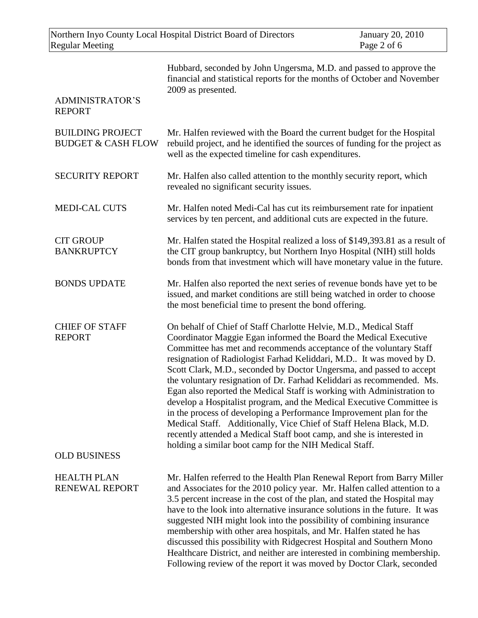| Northern Inyo County Local Hospital District Board of Directors<br><b>Regular Meeting</b> |                                                                                                                                                                                                                                                                                                                                                                                                                                                                                                                                                                                                                                                                                                                                                                                                                                                                         | <b>January 20, 2010</b><br>Page 2 of 6 |
|-------------------------------------------------------------------------------------------|-------------------------------------------------------------------------------------------------------------------------------------------------------------------------------------------------------------------------------------------------------------------------------------------------------------------------------------------------------------------------------------------------------------------------------------------------------------------------------------------------------------------------------------------------------------------------------------------------------------------------------------------------------------------------------------------------------------------------------------------------------------------------------------------------------------------------------------------------------------------------|----------------------------------------|
| <b>ADMINISTRATOR'S</b><br><b>REPORT</b>                                                   | Hubbard, seconded by John Ungersma, M.D. and passed to approve the<br>financial and statistical reports for the months of October and November<br>2009 as presented.                                                                                                                                                                                                                                                                                                                                                                                                                                                                                                                                                                                                                                                                                                    |                                        |
| <b>BUILDING PROJECT</b><br><b>BUDGET &amp; CASH FLOW</b>                                  | Mr. Halfen reviewed with the Board the current budget for the Hospital<br>rebuild project, and he identified the sources of funding for the project as<br>well as the expected timeline for cash expenditures.                                                                                                                                                                                                                                                                                                                                                                                                                                                                                                                                                                                                                                                          |                                        |
| <b>SECURITY REPORT</b>                                                                    | Mr. Halfen also called attention to the monthly security report, which<br>revealed no significant security issues.                                                                                                                                                                                                                                                                                                                                                                                                                                                                                                                                                                                                                                                                                                                                                      |                                        |
| <b>MEDI-CAL CUTS</b>                                                                      | Mr. Halfen noted Medi-Cal has cut its reimbursement rate for inpatient<br>services by ten percent, and additional cuts are expected in the future.                                                                                                                                                                                                                                                                                                                                                                                                                                                                                                                                                                                                                                                                                                                      |                                        |
| <b>CIT GROUP</b><br><b>BANKRUPTCY</b>                                                     | Mr. Halfen stated the Hospital realized a loss of \$149,393.81 as a result of<br>the CIT group bankruptcy, but Northern Inyo Hospital (NIH) still holds<br>bonds from that investment which will have monetary value in the future.                                                                                                                                                                                                                                                                                                                                                                                                                                                                                                                                                                                                                                     |                                        |
| <b>BONDS UPDATE</b>                                                                       | Mr. Halfen also reported the next series of revenue bonds have yet to be<br>issued, and market conditions are still being watched in order to choose<br>the most beneficial time to present the bond offering.                                                                                                                                                                                                                                                                                                                                                                                                                                                                                                                                                                                                                                                          |                                        |
| <b>CHIEF OF STAFF</b><br><b>REPORT</b>                                                    | On behalf of Chief of Staff Charlotte Helvie, M.D., Medical Staff<br>Coordinator Maggie Egan informed the Board the Medical Executive<br>Committee has met and recommends acceptance of the voluntary Staff<br>resignation of Radiologist Farhad Keliddari, M.D It was moved by D.<br>Scott Clark, M.D., seconded by Doctor Ungersma, and passed to accept<br>the voluntary resignation of Dr. Farhad Keliddari as recommended. Ms.<br>Egan also reported the Medical Staff is working with Administration to<br>develop a Hospitalist program, and the Medical Executive Committee is<br>in the process of developing a Performance Improvement plan for the<br>Medical Staff. Additionally, Vice Chief of Staff Helena Black, M.D.<br>recently attended a Medical Staff boot camp, and she is interested in<br>holding a similar boot camp for the NIH Medical Staff. |                                        |
| <b>OLD BUSINESS</b>                                                                       |                                                                                                                                                                                                                                                                                                                                                                                                                                                                                                                                                                                                                                                                                                                                                                                                                                                                         |                                        |
| <b>HEALTH PLAN</b><br><b>RENEWAL REPORT</b>                                               | Mr. Halfen referred to the Health Plan Renewal Report from Barry Miller<br>and Associates for the 2010 policy year. Mr. Halfen called attention to a<br>3.5 percent increase in the cost of the plan, and stated the Hospital may<br>have to the look into alternative insurance solutions in the future. It was<br>suggested NIH might look into the possibility of combining insurance<br>membership with other area hospitals, and Mr. Halfen stated he has<br>discussed this possibility with Ridgecrest Hospital and Southern Mono<br>Healthcare District, and neither are interested in combining membership.<br>Following review of the report it was moved by Doctor Clark, seconded                                                                                                                                                                            |                                        |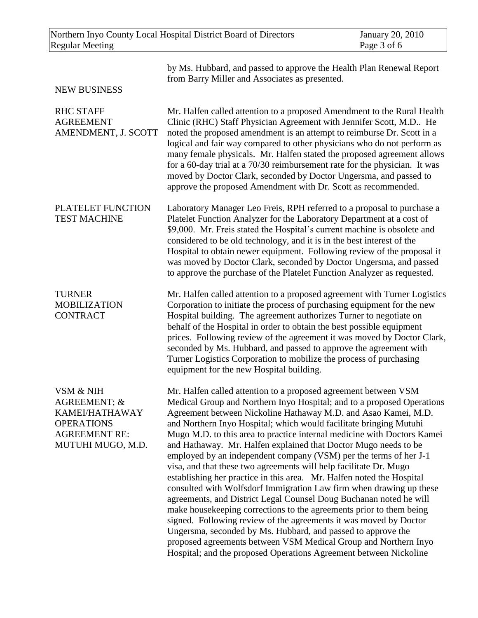| Northern Inyo County Local Hospital District Board of Directors<br><b>Regular Meeting</b>                     |                                                                                                                                                                                                                                                                                                                                                                                                                                                                                                                                                                                                                                                                                                                                                                                                                                                                                                                                                                                                                                                                                                                                                     | January 20, 2010<br>Page 3 of 6 |
|---------------------------------------------------------------------------------------------------------------|-----------------------------------------------------------------------------------------------------------------------------------------------------------------------------------------------------------------------------------------------------------------------------------------------------------------------------------------------------------------------------------------------------------------------------------------------------------------------------------------------------------------------------------------------------------------------------------------------------------------------------------------------------------------------------------------------------------------------------------------------------------------------------------------------------------------------------------------------------------------------------------------------------------------------------------------------------------------------------------------------------------------------------------------------------------------------------------------------------------------------------------------------------|---------------------------------|
| <b>NEW BUSINESS</b>                                                                                           | by Ms. Hubbard, and passed to approve the Health Plan Renewal Report<br>from Barry Miller and Associates as presented.                                                                                                                                                                                                                                                                                                                                                                                                                                                                                                                                                                                                                                                                                                                                                                                                                                                                                                                                                                                                                              |                                 |
| <b>RHC STAFF</b><br><b>AGREEMENT</b><br>AMENDMENT, J. SCOTT                                                   | Mr. Halfen called attention to a proposed Amendment to the Rural Health<br>Clinic (RHC) Staff Physician Agreement with Jennifer Scott, M.D He<br>noted the proposed amendment is an attempt to reimburse Dr. Scott in a<br>logical and fair way compared to other physicians who do not perform as<br>many female physicals. Mr. Halfen stated the proposed agreement allows<br>for a 60-day trial at a 70/30 reimbursement rate for the physician. It was<br>moved by Doctor Clark, seconded by Doctor Ungersma, and passed to<br>approve the proposed Amendment with Dr. Scott as recommended.                                                                                                                                                                                                                                                                                                                                                                                                                                                                                                                                                    |                                 |
| PLATELET FUNCTION<br><b>TEST MACHINE</b>                                                                      | Laboratory Manager Leo Freis, RPH referred to a proposal to purchase a<br>Platelet Function Analyzer for the Laboratory Department at a cost of<br>\$9,000. Mr. Freis stated the Hospital's current machine is obsolete and<br>considered to be old technology, and it is in the best interest of the<br>Hospital to obtain newer equipment. Following review of the proposal it<br>was moved by Doctor Clark, seconded by Doctor Ungersma, and passed<br>to approve the purchase of the Platelet Function Analyzer as requested.                                                                                                                                                                                                                                                                                                                                                                                                                                                                                                                                                                                                                   |                                 |
| <b>TURNER</b><br><b>MOBILIZATION</b><br><b>CONTRACT</b>                                                       | Mr. Halfen called attention to a proposed agreement with Turner Logistics<br>Corporation to initiate the process of purchasing equipment for the new<br>Hospital building. The agreement authorizes Turner to negotiate on<br>behalf of the Hospital in order to obtain the best possible equipment<br>prices. Following review of the agreement it was moved by Doctor Clark,<br>seconded by Ms. Hubbard, and passed to approve the agreement with<br>Turner Logistics Corporation to mobilize the process of purchasing<br>equipment for the new Hospital building.                                                                                                                                                                                                                                                                                                                                                                                                                                                                                                                                                                               |                                 |
| VSM & NIH<br>AGREEMENT; &<br>KAMEI/HATHAWAY<br><b>OPERATIONS</b><br><b>AGREEMENT RE:</b><br>MUTUHI MUGO, M.D. | Mr. Halfen called attention to a proposed agreement between VSM<br>Medical Group and Northern Inyo Hospital; and to a proposed Operations<br>Agreement between Nickoline Hathaway M.D. and Asao Kamei, M.D.<br>and Northern Inyo Hospital; which would facilitate bringing Mutuhi<br>Mugo M.D. to this area to practice internal medicine with Doctors Kamei<br>and Hathaway. Mr. Halfen explained that Doctor Mugo needs to be<br>employed by an independent company (VSM) per the terms of her J-1<br>visa, and that these two agreements will help facilitate Dr. Mugo<br>establishing her practice in this area. Mr. Halfen noted the Hospital<br>consulted with Wolfsdorf Immigration Law firm when drawing up these<br>agreements, and District Legal Counsel Doug Buchanan noted he will<br>make housekeeping corrections to the agreements prior to them being<br>signed. Following review of the agreements it was moved by Doctor<br>Ungersma, seconded by Ms. Hubbard, and passed to approve the<br>proposed agreements between VSM Medical Group and Northern Inyo<br>Hospital; and the proposed Operations Agreement between Nickoline |                                 |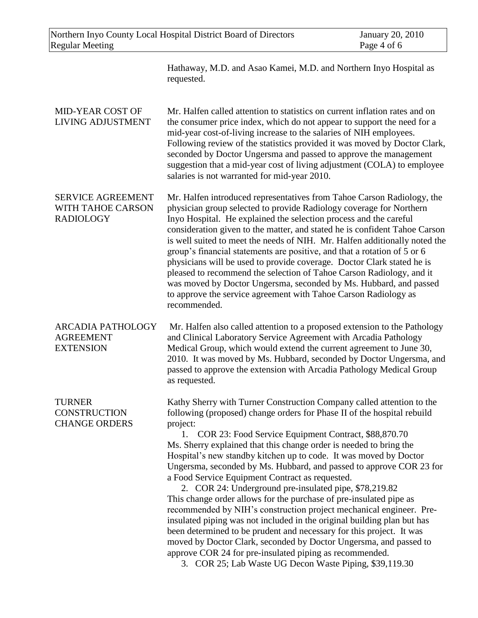Hathaway, M.D. and Asao Kamei, M.D. and Northern Inyo Hospital as requested.

| <b>MID-YEAR COST OF</b><br><b>LIVING ADJUSTMENT</b>               | Mr. Halfen called attention to statistics on current inflation rates and on<br>the consumer price index, which do not appear to support the need for a<br>mid-year cost-of-living increase to the salaries of NIH employees.<br>Following review of the statistics provided it was moved by Doctor Clark,<br>seconded by Doctor Ungersma and passed to approve the management<br>suggestion that a mid-year cost of living adjustment (COLA) to employee<br>salaries is not warranted for mid-year 2010.                                                                                                                                                                                                                                                                                                                                                                                                                                                                                                                                          |
|-------------------------------------------------------------------|---------------------------------------------------------------------------------------------------------------------------------------------------------------------------------------------------------------------------------------------------------------------------------------------------------------------------------------------------------------------------------------------------------------------------------------------------------------------------------------------------------------------------------------------------------------------------------------------------------------------------------------------------------------------------------------------------------------------------------------------------------------------------------------------------------------------------------------------------------------------------------------------------------------------------------------------------------------------------------------------------------------------------------------------------|
| <b>SERVICE AGREEMENT</b><br>WITH TAHOE CARSON<br><b>RADIOLOGY</b> | Mr. Halfen introduced representatives from Tahoe Carson Radiology, the<br>physician group selected to provide Radiology coverage for Northern<br>Inyo Hospital. He explained the selection process and the careful<br>consideration given to the matter, and stated he is confident Tahoe Carson<br>is well suited to meet the needs of NIH. Mr. Halfen additionally noted the<br>group's financial statements are positive, and that a rotation of 5 or 6<br>physicians will be used to provide coverage. Doctor Clark stated he is<br>pleased to recommend the selection of Tahoe Carson Radiology, and it<br>was moved by Doctor Ungersma, seconded by Ms. Hubbard, and passed<br>to approve the service agreement with Tahoe Carson Radiology as<br>recommended.                                                                                                                                                                                                                                                                              |
| <b>ARCADIA PATHOLOGY</b><br><b>AGREEMENT</b><br><b>EXTENSION</b>  | Mr. Halfen also called attention to a proposed extension to the Pathology<br>and Clinical Laboratory Service Agreement with Arcadia Pathology<br>Medical Group, which would extend the current agreement to June 30,<br>2010. It was moved by Ms. Hubbard, seconded by Doctor Ungersma, and<br>passed to approve the extension with Arcadia Pathology Medical Group<br>as requested.                                                                                                                                                                                                                                                                                                                                                                                                                                                                                                                                                                                                                                                              |
| <b>TURNER</b><br><b>CONSTRUCTION</b><br><b>CHANGE ORDERS</b>      | Kathy Sherry with Turner Construction Company called attention to the<br>following (proposed) change orders for Phase II of the hospital rebuild<br>project:<br>1. COR 23: Food Service Equipment Contract, \$88,870.70<br>Ms. Sherry explained that this change order is needed to bring the<br>Hospital's new standby kitchen up to code. It was moved by Doctor<br>Ungersma, seconded by Ms. Hubbard, and passed to approve COR 23 for<br>a Food Service Equipment Contract as requested.<br>2. COR 24: Underground pre-insulated pipe, \$78,219.82<br>This change order allows for the purchase of pre-insulated pipe as<br>recommended by NIH's construction project mechanical engineer. Pre-<br>insulated piping was not included in the original building plan but has<br>been determined to be prudent and necessary for this project. It was<br>moved by Doctor Clark, seconded by Doctor Ungersma, and passed to<br>approve COR 24 for pre-insulated piping as recommended.<br>3. COR 25; Lab Waste UG Decon Waste Piping, \$39,119.30 |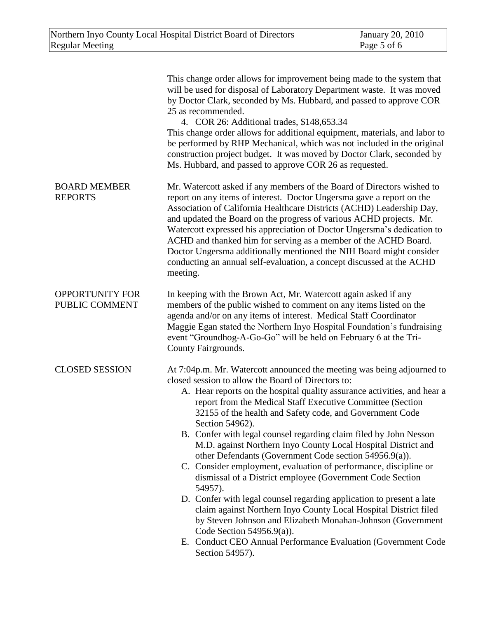|                                          | This change order allows for improvement being made to the system that<br>will be used for disposal of Laboratory Department waste. It was moved<br>by Doctor Clark, seconded by Ms. Hubbard, and passed to approve COR<br>25 as recommended.<br>4. COR 26: Additional trades, \$148,653.34<br>This change order allows for additional equipment, materials, and labor to<br>be performed by RHP Mechanical, which was not included in the original<br>construction project budget. It was moved by Doctor Clark, seconded by<br>Ms. Hubbard, and passed to approve COR 26 as requested.                                                                                                                                                                                                                                                                                                                                                                                                                                         |
|------------------------------------------|----------------------------------------------------------------------------------------------------------------------------------------------------------------------------------------------------------------------------------------------------------------------------------------------------------------------------------------------------------------------------------------------------------------------------------------------------------------------------------------------------------------------------------------------------------------------------------------------------------------------------------------------------------------------------------------------------------------------------------------------------------------------------------------------------------------------------------------------------------------------------------------------------------------------------------------------------------------------------------------------------------------------------------|
| <b>BOARD MEMBER</b><br><b>REPORTS</b>    | Mr. Watercott asked if any members of the Board of Directors wished to<br>report on any items of interest. Doctor Ungersma gave a report on the<br>Association of California Healthcare Districts (ACHD) Leadership Day,<br>and updated the Board on the progress of various ACHD projects. Mr.<br>Watercott expressed his appreciation of Doctor Ungersma's dedication to<br>ACHD and thanked him for serving as a member of the ACHD Board.<br>Doctor Ungersma additionally mentioned the NIH Board might consider<br>conducting an annual self-evaluation, a concept discussed at the ACHD<br>meeting.                                                                                                                                                                                                                                                                                                                                                                                                                        |
| <b>OPPORTUNITY FOR</b><br>PUBLIC COMMENT | In keeping with the Brown Act, Mr. Watercott again asked if any<br>members of the public wished to comment on any items listed on the<br>agenda and/or on any items of interest. Medical Staff Coordinator<br>Maggie Egan stated the Northern Inyo Hospital Foundation's fundraising<br>event "Groundhog-A-Go-Go" will be held on February 6 at the Tri-<br>County Fairgrounds.                                                                                                                                                                                                                                                                                                                                                                                                                                                                                                                                                                                                                                                  |
| <b>CLOSED SESSION</b>                    | At 7:04p.m. Mr. Watercott announced the meeting was being adjourned to<br>closed session to allow the Board of Directors to:<br>A. Hear reports on the hospital quality assurance activities, and hear a<br>report from the Medical Staff Executive Committee (Section<br>32155 of the health and Safety code, and Government Code<br>Section 54962).<br>B. Confer with legal counsel regarding claim filed by John Nesson<br>M.D. against Northern Inyo County Local Hospital District and<br>other Defendants (Government Code section 54956.9(a)).<br>C. Consider employment, evaluation of performance, discipline or<br>dismissal of a District employee (Government Code Section<br>54957).<br>D. Confer with legal counsel regarding application to present a late<br>claim against Northern Inyo County Local Hospital District filed<br>by Steven Johnson and Elizabeth Monahan-Johnson (Government<br>Code Section $54956.9(a)$ ).<br>E. Conduct CEO Annual Performance Evaluation (Government Code<br>Section 54957). |